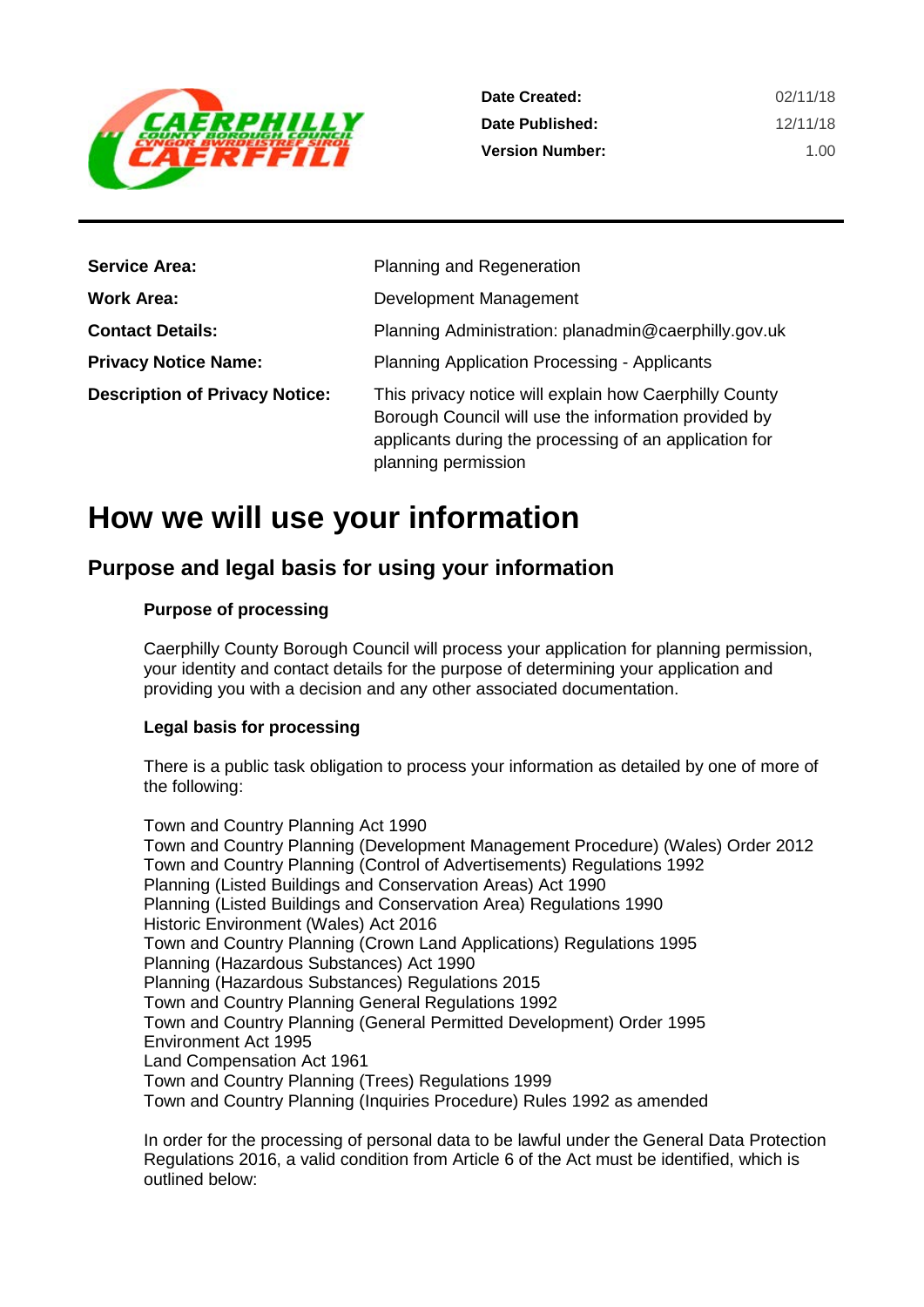

| <b>Service Area:</b>                  | Planning and Regeneration                                                                                                                                                                       |
|---------------------------------------|-------------------------------------------------------------------------------------------------------------------------------------------------------------------------------------------------|
| Work Area:                            | Development Management                                                                                                                                                                          |
| <b>Contact Details:</b>               | Planning Administration: planadmin@caerphilly.gov.uk                                                                                                                                            |
| <b>Privacy Notice Name:</b>           | <b>Planning Application Processing - Applicants</b>                                                                                                                                             |
| <b>Description of Privacy Notice:</b> | This privacy notice will explain how Caerphilly County<br>Borough Council will use the information provided by<br>applicants during the processing of an application for<br>planning permission |

# **How we will use your information**

# **Purpose and legal basis for using your information**

#### **Purpose of processing**

Caerphilly County Borough Council will process your application for planning permission, your identity and contact details for the purpose of determining your application and providing you with a decision and any other associated documentation.

#### **Legal basis for processing**

There is a public task obligation to process your information as detailed by one of more of the following:

Town and Country Planning Act 1990 Town and Country Planning (Development Management Procedure) (Wales) Order 2012 Town and Country Planning (Control of Advertisements) Regulations 1992 Planning (Listed Buildings and Conservation Areas) Act 1990 Planning (Listed Buildings and Conservation Area) Regulations 1990 Historic Environment (Wales) Act 2016 Town and Country Planning (Crown Land Applications) Regulations 1995 Planning (Hazardous Substances) Act 1990 Planning (Hazardous Substances) Regulations 2015 Town and Country Planning General Regulations 1992 Town and Country Planning (General Permitted Development) Order 1995 Environment Act 1995 Land Compensation Act 1961 Town and Country Planning (Trees) Regulations 1999 Town and Country Planning (Inquiries Procedure) Rules 1992 as amended

In order for the processing of personal data to be lawful under the General Data Protection Regulations 2016, a valid condition from Article 6 of the Act must be identified, which is outlined below: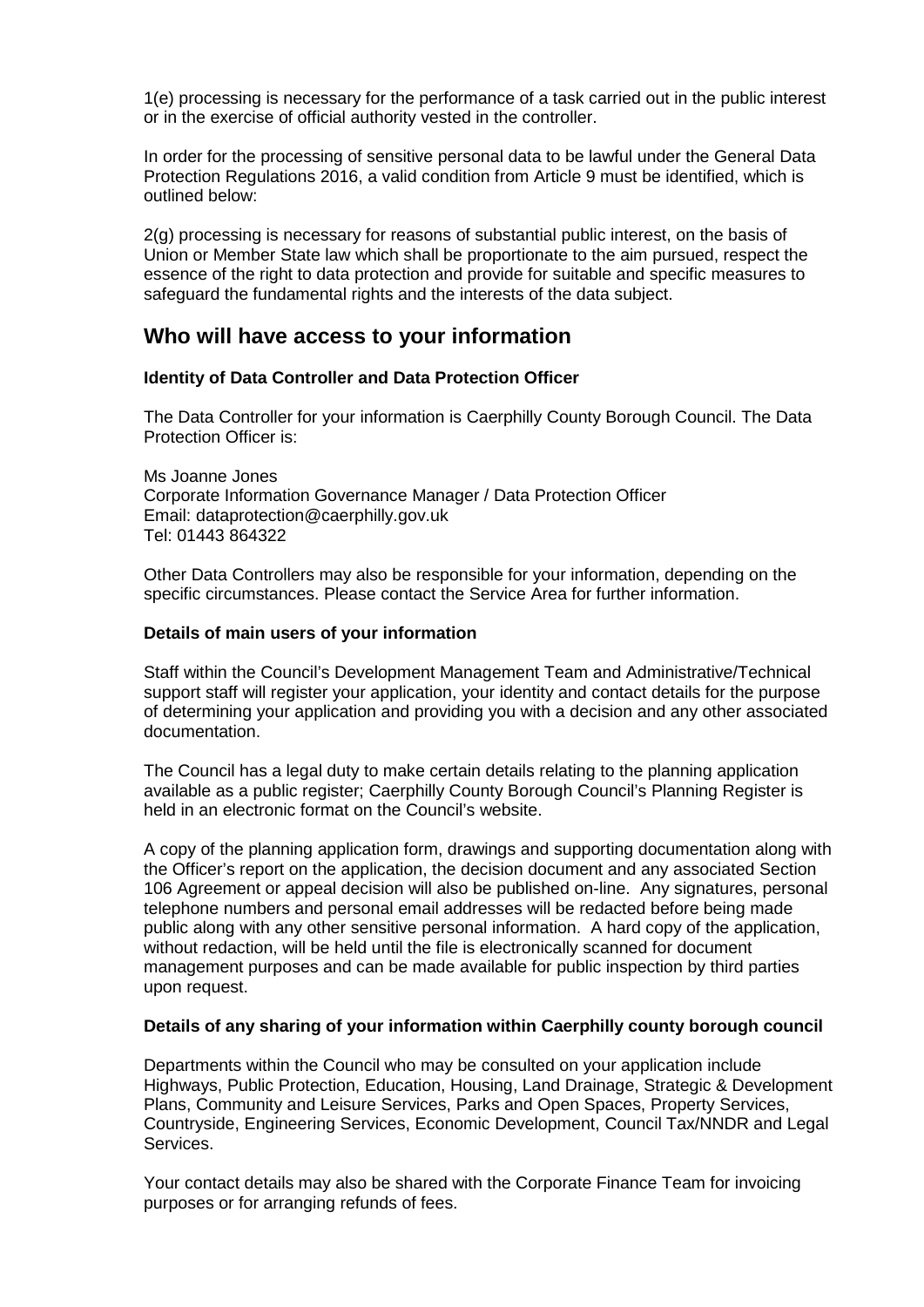1(e) processing is necessary for the performance of a task carried out in the public interest or in the exercise of official authority vested in the controller.

In order for the processing of sensitive personal data to be lawful under the General Data Protection Regulations 2016, a valid condition from Article 9 must be identified, which is outlined below:

2(g) processing is necessary for reasons of substantial public interest, on the basis of Union or Member State law which shall be proportionate to the aim pursued, respect the essence of the right to data protection and provide for suitable and specific measures to safeguard the fundamental rights and the interests of the data subject.

### **Who will have access to your information**

#### **Identity of Data Controller and Data Protection Officer**

The Data Controller for your information is Caerphilly County Borough Council. The Data Protection Officer is:

Ms Joanne Jones Corporate Information Governance Manager / Data Protection Officer Email: dataprotection@caerphilly.gov.uk Tel: 01443 864322

Other Data Controllers may also be responsible for your information, depending on the specific circumstances. Please contact the Service Area for further information.

#### **Details of main users of your information**

Staff within the Council's Development Management Team and Administrative/Technical support staff will register your application, your identity and contact details for the purpose of determining your application and providing you with a decision and any other associated documentation.

The Council has a legal duty to make certain details relating to the planning application available as a public register; Caerphilly County Borough Council's Planning Register is held in an electronic format on the Council's website.

A copy of the planning application form, drawings and supporting documentation along with the Officer's report on the application, the decision document and any associated Section 106 Agreement or appeal decision will also be published on-line. Any signatures, personal telephone numbers and personal email addresses will be redacted before being made public along with any other sensitive personal information. A hard copy of the application, without redaction, will be held until the file is electronically scanned for document management purposes and can be made available for public inspection by third parties upon request.

#### **Details of any sharing of your information within Caerphilly county borough council**

Departments within the Council who may be consulted on your application include Highways, Public Protection, Education, Housing, Land Drainage, Strategic & Development Plans, Community and Leisure Services, Parks and Open Spaces, Property Services, Countryside, Engineering Services, Economic Development, Council Tax/NNDR and Legal Services.

Your contact details may also be shared with the Corporate Finance Team for invoicing purposes or for arranging refunds of fees.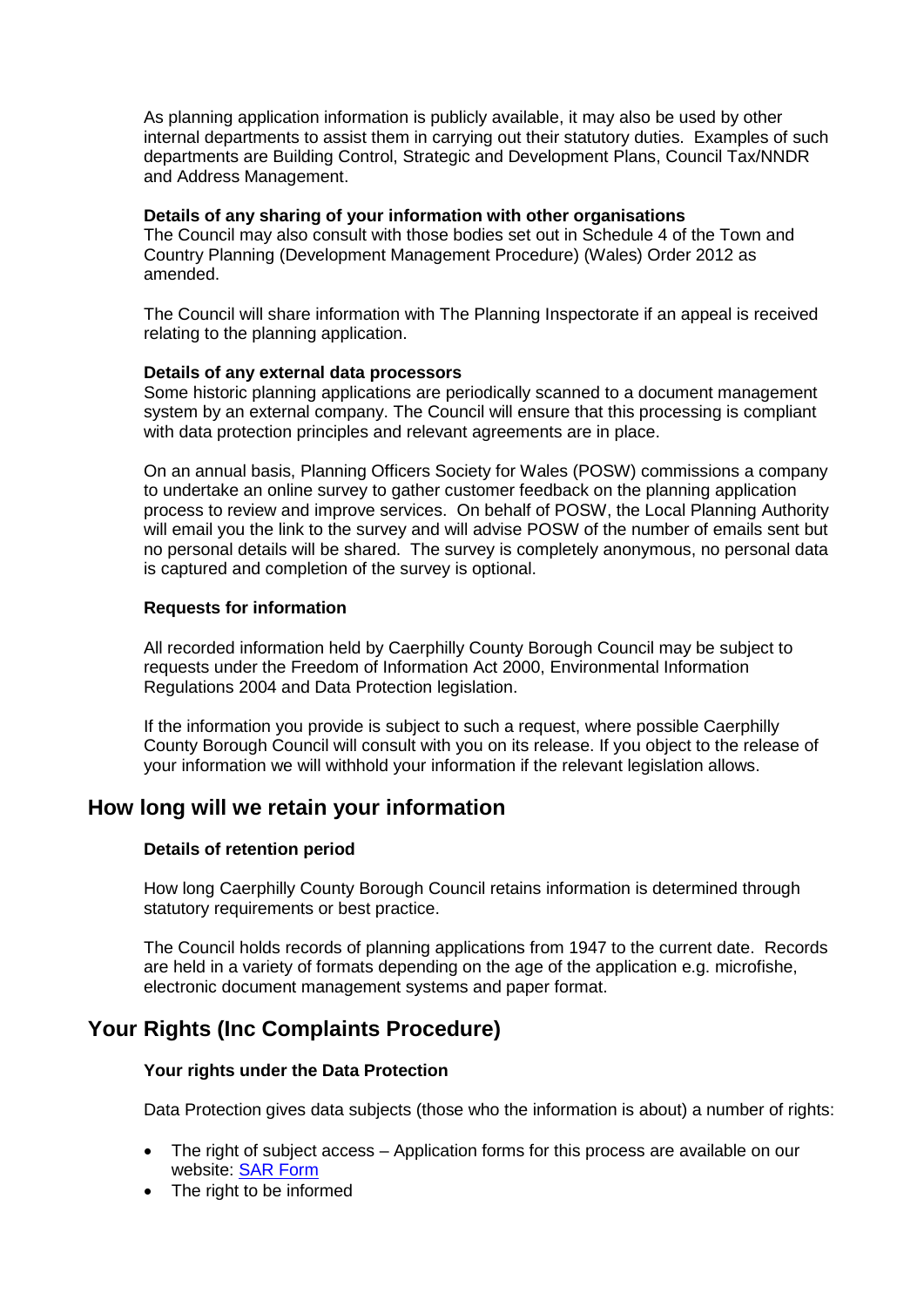As planning application information is publicly available, it may also be used by other internal departments to assist them in carrying out their statutory duties. Examples of such departments are Building Control, Strategic and Development Plans, Council Tax/NNDR and Address Management.

#### **Details of any sharing of your information with other organisations**

The Council may also consult with those bodies set out in Schedule 4 of the Town and Country Planning (Development Management Procedure) (Wales) Order 2012 as amended.

The Council will share information with The Planning Inspectorate if an appeal is received relating to the planning application.

#### **Details of any external data processors**

Some historic planning applications are periodically scanned to a document management system by an external company. The Council will ensure that this processing is compliant with data protection principles and relevant agreements are in place.

On an annual basis, Planning Officers Society for Wales (POSW) commissions a company to undertake an online survey to gather customer feedback on the planning application process to review and improve services. On behalf of POSW, the Local Planning Authority will email you the link to the survey and will advise POSW of the number of emails sent but no personal details will be shared. The survey is completely anonymous, no personal data is captured and completion of the survey is optional.

#### **Requests for information**

All recorded information held by Caerphilly County Borough Council may be subject to requests under the Freedom of Information Act 2000, Environmental Information Regulations 2004 and Data Protection legislation.

If the information you provide is subject to such a request, where possible Caerphilly County Borough Council will consult with you on its release. If you object to the release of your information we will withhold your information if the relevant legislation allows.

## **How long will we retain your information**

#### **Details of retention period**

How long Caerphilly County Borough Council retains information is determined through statutory requirements or best practice.

The Council holds records of planning applications from 1947 to the current date. Records are held in a variety of formats depending on the age of the application e.g. microfishe, electronic document management systems and paper format.

## **Your Rights (Inc Complaints Procedure)**

#### **Your rights under the Data Protection**

Data Protection gives data subjects (those who the information is about) a number of rights:

- The right of subject access Application forms for this process are available on our website: [SAR Form](http://www.caerphilly.gov.uk/CaerphillyDocs/Council-and-democracy/sar_form.aspx)
- The right to be informed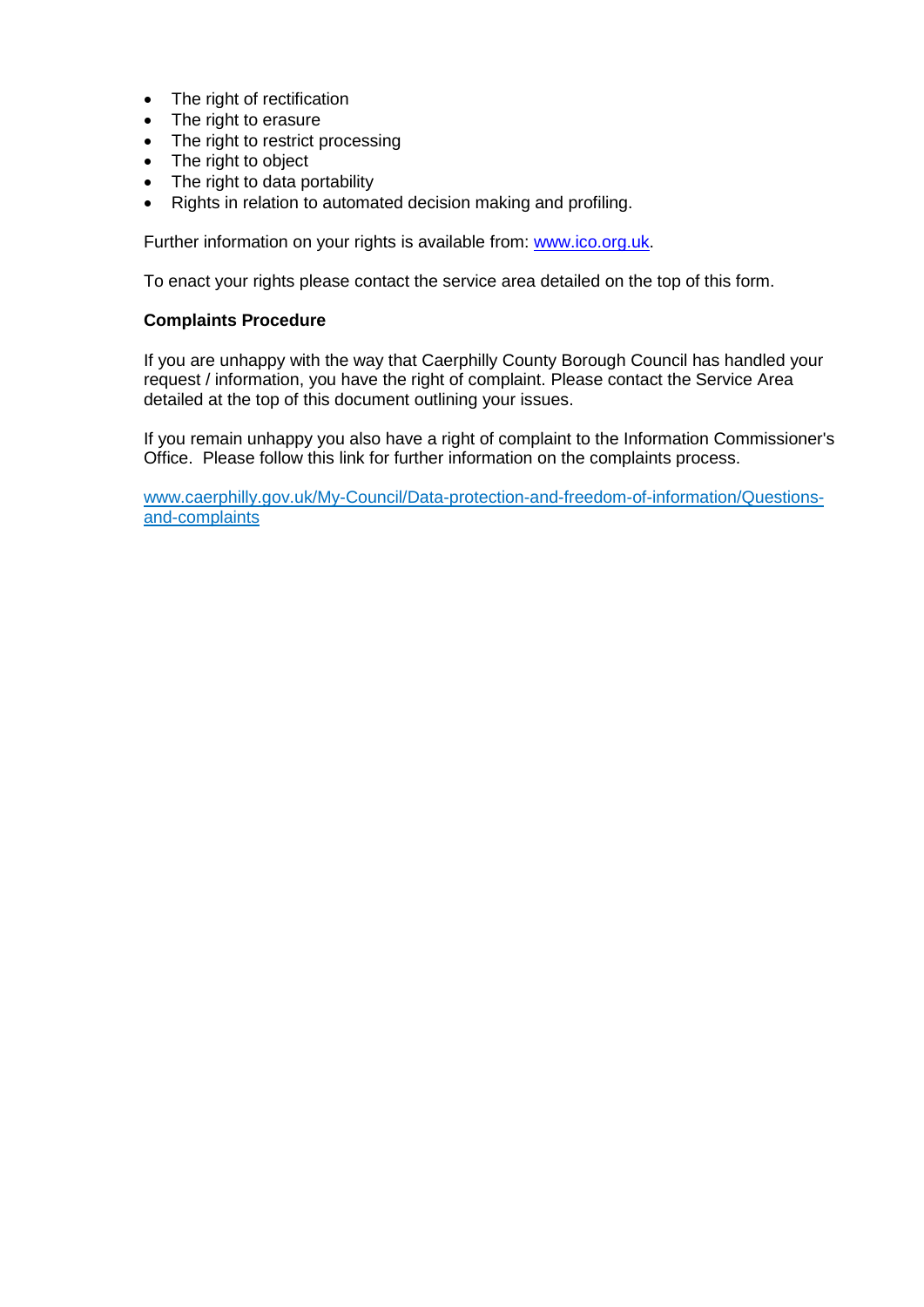- The right of rectification
- The right to erasure
- The right to restrict processing
- The right to object
- The right to data portability
- Rights in relation to automated decision making and profiling.

Further information on your rights is available from: [www.ico.org.uk.](http://www.ico.org.uk/)

To enact your rights please contact the service area detailed on the top of this form.

#### **Complaints Procedure**

If you are unhappy with the way that Caerphilly County Borough Council has handled your request / information, you have the right of complaint. Please contact the Service Area detailed at the top of this document outlining your issues.

If you remain unhappy you also have a right of complaint to the Information Commissioner's Office. Please follow this link for further information on the complaints process.

[www.caerphilly.gov.uk/My-Council/Data-protection-and-freedom-of-information/Questions](http://www.caerphilly.gov.uk/My-Council/Data-protection-and-freedom-of-information/Questions-and-complaints)[and-complaints](http://www.caerphilly.gov.uk/My-Council/Data-protection-and-freedom-of-information/Questions-and-complaints)